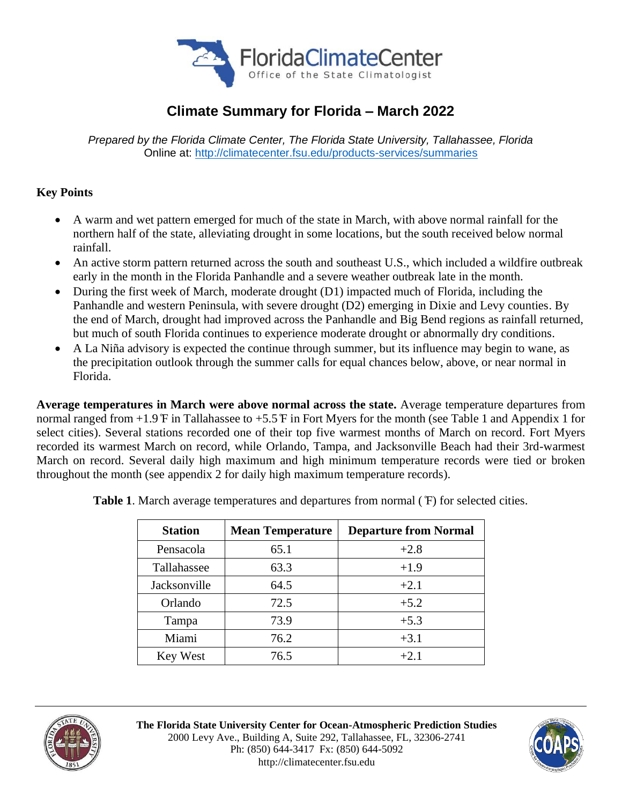

## **Climate Summary for Florida – March 2022**

*Prepared by the Florida Climate Center, The Florida State University, Tallahassee, Florida* Online at:<http://climatecenter.fsu.edu/products-services/summaries>

### **Key Points**

- A warm and wet pattern emerged for much of the state in March, with above normal rainfall for the northern half of the state, alleviating drought in some locations, but the south received below normal rainfall.
- An active storm pattern returned across the south and southeast U.S., which included a wildfire outbreak early in the month in the Florida Panhandle and a severe weather outbreak late in the month.
- During the first week of March, moderate drought (D1) impacted much of Florida, including the Panhandle and western Peninsula, with severe drought (D2) emerging in Dixie and Levy counties. By the end of March, drought had improved across the Panhandle and Big Bend regions as rainfall returned, but much of south Florida continues to experience moderate drought or abnormally dry conditions.
- A La Niña advisory is expected the continue through summer, but its influence may begin to wane, as the precipitation outlook through the summer calls for equal chances below, above, or near normal in Florida.

**Average temperatures in March were above normal across the state.** Average temperature departures from normal ranged from +1.9 ̊F in Tallahassee to +5.5 ̊F in Fort Myers for the month (see Table 1 and Appendix 1 for select cities). Several stations recorded one of their top five warmest months of March on record. Fort Myers recorded its warmest March on record, while Orlando, Tampa, and Jacksonville Beach had their 3rd-warmest March on record. Several daily high maximum and high minimum temperature records were tied or broken throughout the month (see appendix 2 for daily high maximum temperature records).

| <b>Station</b> | <b>Mean Temperature</b> | <b>Departure from Normal</b> |  |
|----------------|-------------------------|------------------------------|--|
| Pensacola      | 65.1                    | $+2.8$                       |  |
| Tallahassee    | 63.3                    | $+1.9$                       |  |
| Jacksonville   | 64.5                    | $+2.1$                       |  |
| Orlando        | 72.5                    | $+5.2$                       |  |
| Tampa          | 73.9                    | $+5.3$                       |  |
| Miami          | 76.2                    | $+3.1$                       |  |
| Key West       | 76.5                    | $+2.1$                       |  |

**Table 1**. March average temperatures and departures from normal ( ̊F) for selected cities.



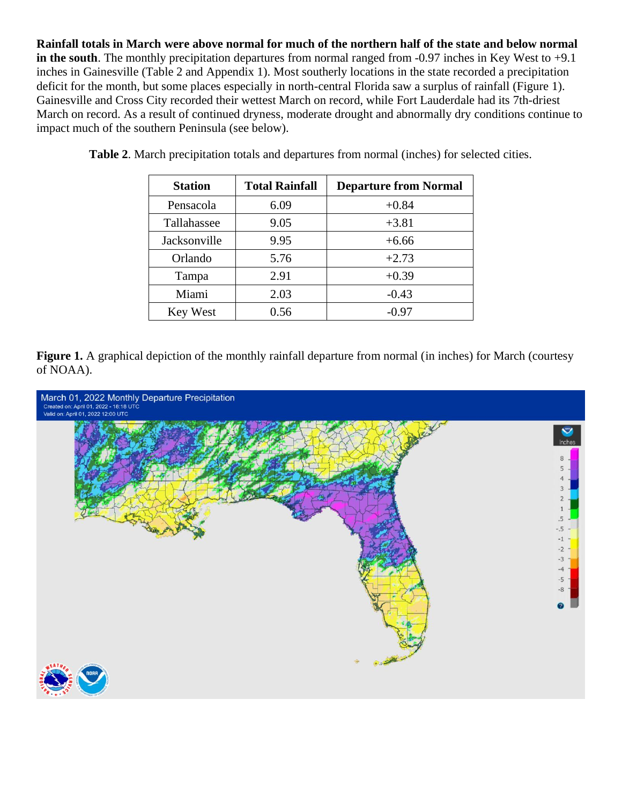**Rainfall totals in March were above normal for much of the northern half of the state and below normal in the south**. The monthly precipitation departures from normal ranged from -0.97 inches in Key West to +9.1 inches in Gainesville (Table 2 and Appendix 1). Most southerly locations in the state recorded a precipitation deficit for the month, but some places especially in north-central Florida saw a surplus of rainfall (Figure 1). Gainesville and Cross City recorded their wettest March on record, while Fort Lauderdale had its 7th-driest March on record. As a result of continued dryness, moderate drought and abnormally dry conditions continue to impact much of the southern Peninsula (see below).

| <b>Station</b> | <b>Total Rainfall</b> | <b>Departure from Normal</b> |  |
|----------------|-----------------------|------------------------------|--|
| Pensacola      | 6.09                  | $+0.84$                      |  |
| Tallahassee    | 9.05                  | $+3.81$                      |  |
| Jacksonville   | 9.95                  | $+6.66$                      |  |
| Orlando        | 5.76                  | $+2.73$                      |  |
| Tampa          | 2.91                  | $+0.39$                      |  |
| Miami          | 2.03                  | $-0.43$                      |  |
| Key West       | 0.56                  | $-0.97$                      |  |

**Table 2**. March precipitation totals and departures from normal (inches) for selected cities.

**Figure 1.** A graphical depiction of the monthly rainfall departure from normal (in inches) for March (courtesy of NOAA).

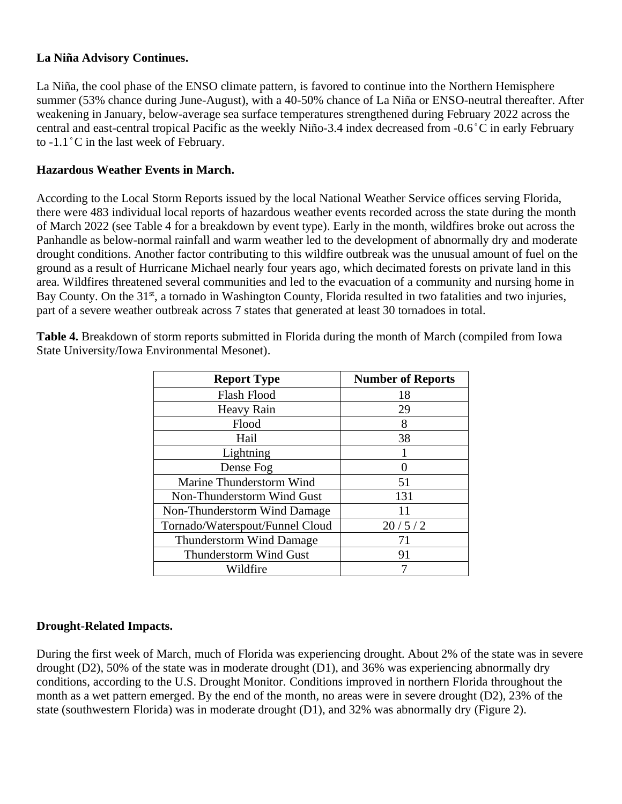#### **La Niña Advisory Continues.**

La Niña, the cool phase of the ENSO climate pattern, is favored to continue into the Northern Hemisphere summer (53% chance during June-August), with a 40-50% chance of La Niña or ENSO-neutral thereafter. After weakening in January, below-average sea surface temperatures strengthened during February 2022 across the central and east-central tropical Pacific as the weekly Niño-3.4 index decreased from -0.6 ̊C in early February to -1.1 ̊C in the last week of February.

#### **Hazardous Weather Events in March.**

According to the Local Storm Reports issued by the local National Weather Service offices serving Florida, there were 483 individual local reports of hazardous weather events recorded across the state during the month of March 2022 (see Table 4 for a breakdown by event type). Early in the month, wildfires broke out across the Panhandle as below-normal rainfall and warm weather led to the development of abnormally dry and moderate drought conditions. Another factor contributing to this wildfire outbreak was the unusual amount of fuel on the ground as a result of Hurricane Michael nearly four years ago, which decimated forests on private land in this area. Wildfires threatened several communities and led to the evacuation of a community and nursing home in Bay County. On the 31<sup>st</sup>, a tornado in Washington County, Florida resulted in two fatalities and two injuries, part of a severe weather outbreak across 7 states that generated at least 30 tornadoes in total.

**Table 4.** Breakdown of storm reports submitted in Florida during the month of March (compiled from Iowa State University/Iowa Environmental Mesonet).

| <b>Report Type</b>              | <b>Number of Reports</b> |  |  |
|---------------------------------|--------------------------|--|--|
| Flash Flood                     | 18                       |  |  |
| Heavy Rain                      | 29                       |  |  |
| Flood                           | 8                        |  |  |
| Hail                            | 38                       |  |  |
| Lightning                       |                          |  |  |
| Dense Fog                       |                          |  |  |
| Marine Thunderstorm Wind        | 51                       |  |  |
| Non-Thunderstorm Wind Gust      | 131                      |  |  |
| Non-Thunderstorm Wind Damage    | 11                       |  |  |
| Tornado/Waterspout/Funnel Cloud | 20/5/2                   |  |  |
| <b>Thunderstorm Wind Damage</b> | 71                       |  |  |
| Thunderstorm Wind Gust          | 91                       |  |  |
| Wildfire                        |                          |  |  |

#### **Drought-Related Impacts.**

During the first week of March, much of Florida was experiencing drought. About 2% of the state was in severe drought (D2), 50% of the state was in moderate drought (D1), and 36% was experiencing abnormally dry conditions, according to the U.S. Drought Monitor. Conditions improved in northern Florida throughout the month as a wet pattern emerged. By the end of the month, no areas were in severe drought (D2), 23% of the state (southwestern Florida) was in moderate drought (D1), and 32% was abnormally dry (Figure 2).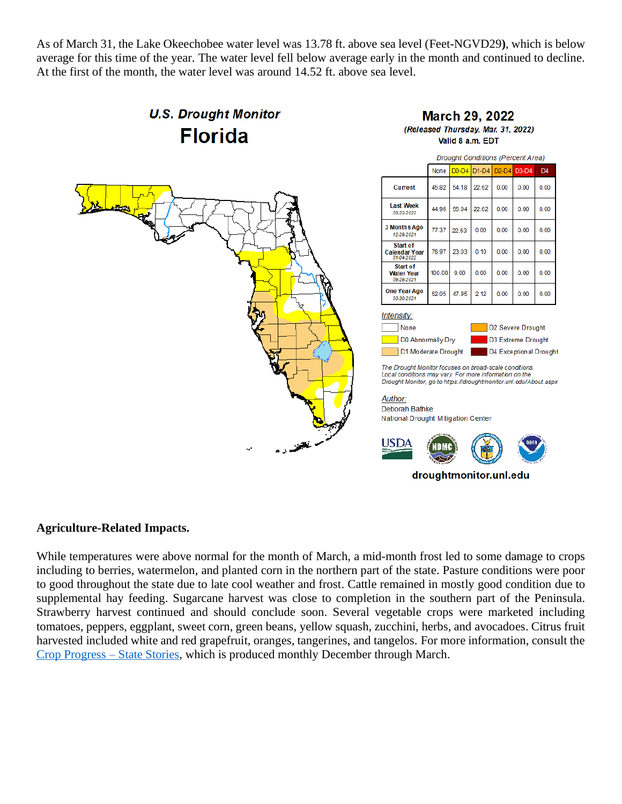As of March 31, the Lake Okeechobee water level was 13.78 ft. above sea level (Feet-NGVD29**)**, which is below average for this time of the year. The water level fell below average early in the month and continued to decline. At the first of the month, the water level was around 14.52 ft. above sea level.

# **U.S. Drought Monitor Florida**



#### **March 29, 2022** (Released Thursday, Mar. 31, 2022) Valid 8 a.m. EDT



#### Deborah Bathke National Drought Mitigation Center



**Agriculture-Related Impacts.**

While temperatures were above normal for the month of March, a mid-month frost led to some damage to crops including to berries, watermelon, and planted corn in the northern part of the state. Pasture conditions were poor to good throughout the state due to late cool weather and frost. Cattle remained in mostly good condition due to supplemental hay feeding. Sugarcane harvest was close to completion in the southern part of the Peninsula. Strawberry harvest continued and should conclude soon. Several vegetable crops were marketed including tomatoes, peppers, eggplant, sweet corn, green beans, yellow squash, zucchini, herbs, and avocadoes. Citrus fruit harvested included white and red grapefruit, oranges, tangerines, and tangelos. For more information, consult the [Crop Progress –](https://usda.library.cornell.edu/concern/publications/fq977t77k) State Stories, which is produced monthly December through March.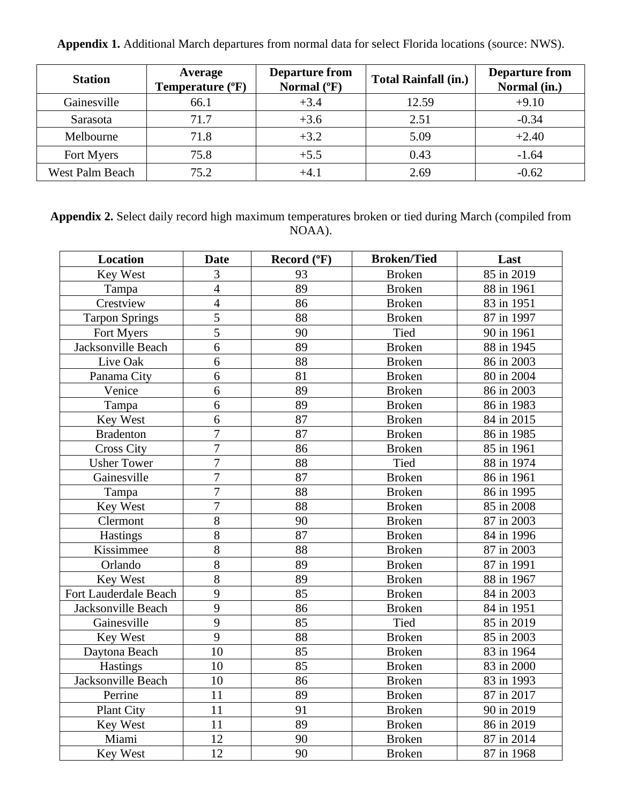| <b>Station</b>         | Average<br>Temperature (°F) | <b>Departure from</b><br>Normal $(^{\circ}F)$ | <b>Total Rainfall (in.)</b> | <b>Departure from</b><br>Normal (in.) |
|------------------------|-----------------------------|-----------------------------------------------|-----------------------------|---------------------------------------|
| Gainesville            | 66.1                        | $+3.4$                                        | 12.59                       | $+9.10$                               |
| Sarasota               | 71.7                        | $+3.6$                                        | 2.51                        | $-0.34$                               |
| Melbourne              | 71.8                        | $+3.2$                                        | 5.09                        | $+2.40$                               |
| Fort Myers             | 75.8                        | $+5.5$                                        | 0.43                        | $-1.64$                               |
| <b>West Palm Beach</b> | 75.2                        | $+4$ 1                                        | 2.69                        | $-0.62$                               |

**Appendix 1.** Additional March departures from normal data for select Florida locations (source: NWS).

**Appendix 2.** Select daily record high maximum temperatures broken or tied during March (compiled from NOAA).

| <b>Location</b>       | <b>Date</b>    | Record (°F) | <b>Broken/Tied</b> | Last       |
|-----------------------|----------------|-------------|--------------------|------------|
| <b>Key West</b>       | 3              | 93          | <b>Broken</b>      | 85 in 2019 |
| Tampa                 | $\overline{4}$ | 89          | <b>Broken</b>      | 88 in 1961 |
| Crestview             | $\overline{4}$ | 86          | <b>Broken</b>      | 83 in 1951 |
| <b>Tarpon Springs</b> | $\overline{5}$ | 88          | <b>Broken</b>      | 87 in 1997 |
| Fort Myers            | 5              | 90          | <b>Tied</b>        | 90 in 1961 |
| Jacksonville Beach    | 6              | 89          | <b>Broken</b>      | 88 in 1945 |
| Live Oak              | 6              | 88          | <b>Broken</b>      | 86 in 2003 |
| Panama City           | 6              | 81          | <b>Broken</b>      | 80 in 2004 |
| Venice                | 6              | 89          | <b>Broken</b>      | 86 in 2003 |
| Tampa                 | 6              | 89          | <b>Broken</b>      | 86 in 1983 |
| Key West              | 6              | 87          | <b>Broken</b>      | 84 in 2015 |
| <b>Bradenton</b>      | $\overline{7}$ | 87          | <b>Broken</b>      | 86 in 1985 |
| <b>Cross City</b>     | $\overline{7}$ | 86          | <b>Broken</b>      | 85 in 1961 |
| <b>Usher Tower</b>    | $\overline{7}$ | 88          | <b>Tied</b>        | 88 in 1974 |
| Gainesville           | $\overline{7}$ | 87          | <b>Broken</b>      | 86 in 1961 |
| Tampa                 | $\overline{7}$ | 88          | <b>Broken</b>      | 86 in 1995 |
| Key West              | $\overline{7}$ | 88          | <b>Broken</b>      | 85 in 2008 |
| Clermont              | 8              | 90          | <b>Broken</b>      | 87 in 2003 |
| Hastings              | 8              | 87          | <b>Broken</b>      | 84 in 1996 |
| Kissimmee             | 8              | 88          | <b>Broken</b>      | 87 in 2003 |
| Orlando               | 8              | 89          | <b>Broken</b>      | 87 in 1991 |
| Key West              | $\overline{8}$ | 89          | <b>Broken</b>      | 88 in 1967 |
| Fort Lauderdale Beach | 9              | 85          | <b>Broken</b>      | 84 in 2003 |
| Jacksonville Beach    | 9              | 86          | <b>Broken</b>      | 84 in 1951 |
| Gainesville           | 9              | 85          | <b>Tied</b>        | 85 in 2019 |
| Key West              | 9              | 88          | <b>Broken</b>      | 85 in 2003 |
| Daytona Beach         | 10             | 85          | <b>Broken</b>      | 83 in 1964 |
| Hastings              | 10             | 85          | <b>Broken</b>      | 83 in 2000 |
| Jacksonville Beach    | 10             | 86          | <b>Broken</b>      | 83 in 1993 |
| Perrine               | 11             | 89          | <b>Broken</b>      | 87 in 2017 |
| <b>Plant City</b>     | 11             | 91          | <b>Broken</b>      | 90 in 2019 |
| Key West              | 11             | 89          | <b>Broken</b>      | 86 in 2019 |
| Miami                 | 12             | 90          | <b>Broken</b>      | 87 in 2014 |
| Key West              | 12             | 90          | <b>Broken</b>      | 87 in 1968 |